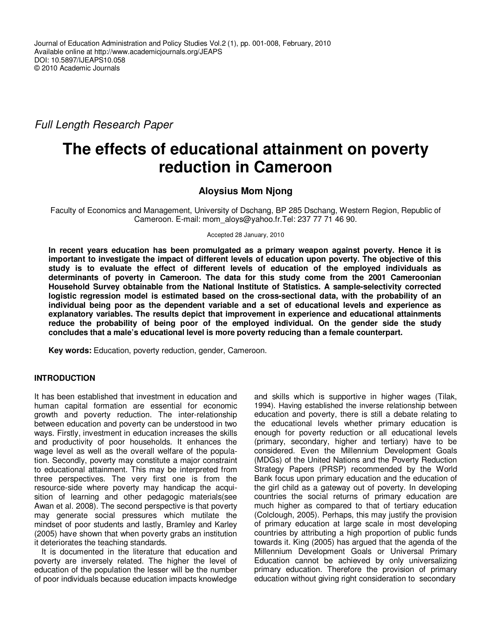Full Length Research Paper

# **The effects of educational attainment on poverty reduction in Cameroon**

# **Aloysius Mom Njong**

Faculty of Economics and Management, University of Dschang, BP 285 Dschang, Western Region, Republic of Cameroon. E-mail: mom\_aloys@yahoo.fr.Tel: 237 77 71 46 90.

Accepted 28 January, 2010

**In recent years education has been promulgated as a primary weapon against poverty. Hence it is important to investigate the impact of different levels of education upon poverty. The objective of this study is to evaluate the effect of different levels of education of the employed individuals as determinants of poverty in Cameroon. The data for this study come from the 2001 Cameroonian Household Survey obtainable from the National Institute of Statistics. A sample-selectivity corrected logistic regression model is estimated based on the cross-sectional data, with the probability of an individual being poor as the dependent variable and a set of educational levels and experience as explanatory variables. The results depict that improvement in experience and educational attainments reduce the probability of being poor of the employed individual. On the gender side the study concludes that a male's educational level is more poverty reducing than a female counterpart.** 

**Key words:** Education, poverty reduction, gender, Cameroon.

# **INTRODUCTION**

It has been established that investment in education and human capital formation are essential for economic growth and poverty reduction. The inter-relationship between education and poverty can be understood in two ways. Firstly, investment in education increases the skills and productivity of poor households. It enhances the wage level as well as the overall welfare of the population. Secondly, poverty may constitute a major constraint to educational attainment. This may be interpreted from three perspectives. The very first one is from the resource-side where poverty may handicap the acquisition of learning and other pedagogic materials(see Awan et al. 2008). The second perspective is that poverty may generate social pressures which mutilate the mindset of poor students and lastly, Bramley and Karley (2005) have shown that when poverty grabs an institution it deteriorates the teaching standards.

It is documented in the literature that education and poverty are inversely related. The higher the level of education of the population the lesser will be the number of poor individuals because education impacts knowledge and skills which is supportive in higher wages (Tilak, 1994). Having established the inverse relationship between education and poverty, there is still a debate relating to the educational levels whether primary education is enough for poverty reduction or all educational levels (primary, secondary, higher and tertiary) have to be considered. Even the Millennium Development Goals (MDGs) of the United Nations and the Poverty Reduction Strategy Papers (PRSP) recommended by the World Bank focus upon primary education and the education of the girl child as a gateway out of poverty. In developing countries the social returns of primary education are much higher as compared to that of tertiary education (Colclough, 2005). Perhaps, this may justify the provision of primary education at large scale in most developing countries by attributing a high proportion of public funds towards it. King (2005) has argued that the agenda of the Millennium Development Goals or Universal Primary Education cannot be achieved by only universalizing primary education. Therefore the provision of primary education without giving right consideration to secondary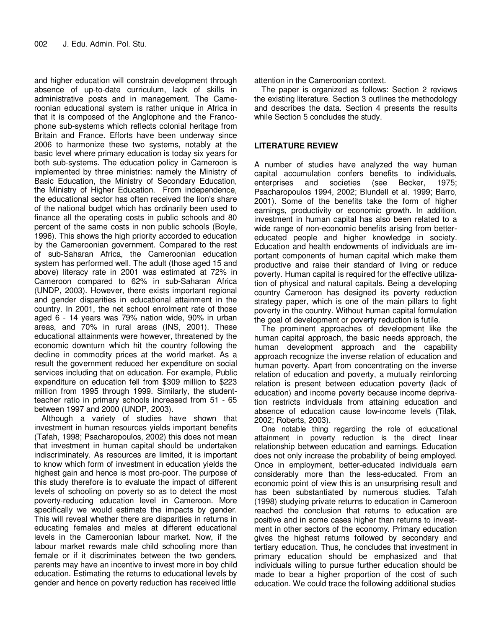and higher education will constrain development through absence of up-to-date curriculum, lack of skills in administrative posts and in management. The Cameroonian educational system is rather unique in Africa in that it is composed of the Anglophone and the Francophone sub-systems which reflects colonial heritage from Britain and France. Efforts have been underway since 2006 to harmonize these two systems, notably at the basic level where primary education is today six years for both sub-systems. The education policy in Cameroon is implemented by three ministries: namely the Ministry of Basic Education, the Ministry of Secondary Education, the Ministry of Higher Education. From independence, the educational sector has often received the lion's share of the national budget which has ordinarily been used to finance all the operating costs in public schools and 80 percent of the same costs in non public schools (Boyle, 1996). This shows the high priority accorded to education by the Cameroonian government. Compared to the rest of sub-Saharan Africa, the Cameroonian education system has performed well. The adult (those aged 15 and above) literacy rate in 2001 was estimated at 72% in Cameroon compared to 62% in sub-Saharan Africa (UNDP, 2003). However, there exists important regional and gender disparities in educational attainment in the country. In 2001, the net school enrolment rate of those aged 6 - 14 years was 79% nation wide, 90% in urban areas, and 70% in rural areas (INS, 2001). These educational attainments were however, threatened by the economic downturn which hit the country following the decline in commodity prices at the world market. As a result the government reduced her expenditure on social services including that on education. For example, Public expenditure on education fell from \$309 million to \$223 million from 1995 through 1999. Similarly, the studentteacher ratio in primary schools increased from 51 - 65 between 1997 and 2000 (UNDP, 2003).

Although a variety of studies have shown that investment in human resources yields important benefits (Tafah, 1998; Psacharopoulos, 2002) this does not mean that investment in human capital should be undertaken indiscriminately. As resources are limited, it is important to know which form of investment in education yields the highest gain and hence is most pro-poor. The purpose of this study therefore is to evaluate the impact of different levels of schooling on poverty so as to detect the most poverty-reducing education level in Cameroon. More specifically we would estimate the impacts by gender. This will reveal whether there are disparities in returns in educating females and males at different educational levels in the Cameroonian labour market. Now, if the labour market rewards male child schooling more than female or if it discriminates between the two genders, parents may have an incentive to invest more in boy child education. Estimating the returns to educational levels by gender and hence on poverty reduction has received little

attention in the Cameroonian context.

The paper is organized as follows: Section 2 reviews the existing literature. Section 3 outlines the methodology and describes the data. Section 4 presents the results while Section 5 concludes the study.

# **LITERATURE REVIEW**

A number of studies have analyzed the way human capital accumulation confers benefits to individuals, enterprises and societies (see Becker, 1975; Psacharopoulos 1994, 2002; Blundell et al. 1999; Barro, 2001). Some of the benefits take the form of higher earnings, productivity or economic growth. In addition, investment in human capital has also been related to a wide range of non-economic benefits arising from bettereducated people and higher knowledge in society. Education and health endowments of individuals are important components of human capital which make them productive and raise their standard of living or reduce poverty. Human capital is required for the effective utilization of physical and natural capitals. Being a developing country Cameroon has designed its poverty reduction strategy paper, which is one of the main pillars to fight poverty in the country. Without human capital formulation the goal of development or poverty reduction is futile.

The prominent approaches of development like the human capital approach, the basic needs approach, the human development approach and the capability approach recognize the inverse relation of education and human poverty. Apart from concentrating on the inverse relation of education and poverty, a mutually reinforcing relation is present between education poverty (lack of education) and income poverty because income deprivation restricts individuals from attaining education and absence of education cause low-income levels (Tilak, 2002; Roberts, 2003).

One notable thing regarding the role of educational attainment in poverty reduction is the direct linear relationship between education and earnings. Education does not only increase the probability of being employed. Once in employment, better-educated individuals earn considerably more than the less-educated. From an economic point of view this is an unsurprising result and has been substantiated by numerous studies. Tafah (1998) studying private returns to education in Cameroon reached the conclusion that returns to education are positive and in some cases higher than returns to investment in other sectors of the economy. Primary education gives the highest returns followed by secondary and tertiary education. Thus, he concludes that investment in primary education should be emphasized and that individuals willing to pursue further education should be made to bear a higher proportion of the cost of such education. We could trace the following additional studies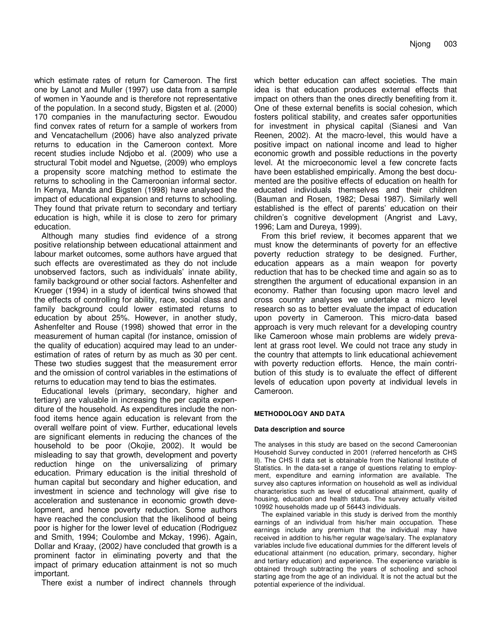which estimate rates of return for Cameroon. The first one by Lanot and Muller (1997) use data from a sample of women in Yaounde and is therefore not representative of the population. In a second study, Bigsten et al. (2000) 170 companies in the manufacturing sector. Ewoudou find convex rates of return for a sample of workers from and Vencatachellum (2006) have also analyzed private returns to education in the Cameroon context. More recent studies include Ndjobo et al. (2009) who use a structural Tobit model and Nguetse, (2009) who employs a propensity score matching method to estimate the returns to schooling in the Cameroonian informal sector. In Kenya, Manda and Bigsten (1998) have analysed the impact of educational expansion and returns to schooling. They found that private return to secondary and tertiary education is high, while it is close to zero for primary education.

Although many studies find evidence of a strong positive relationship between educational attainment and labour market outcomes, some authors have argued that such effects are overestimated as they do not include unobserved factors, such as individuals' innate ability, family background or other social factors. Ashenfelter and Krueger (1994) in a study of identical twins showed that the effects of controlling for ability, race, social class and family background could lower estimated returns to education by about 25%. However, in another study, Ashenfelter and Rouse (1998) showed that error in the measurement of human capital (for instance, omission of the quality of education) acquired may lead to an underestimation of rates of return by as much as 30 per cent. These two studies suggest that the measurement error and the omission of control variables in the estimations of returns to education may tend to bias the estimates.

Educational levels (primary, secondary, higher and tertiary) are valuable in increasing the per capita expenditure of the household. As expenditures include the nonfood items hence again education is relevant from the overall welfare point of view. Further, educational levels are significant elements in reducing the chances of the household to be poor (Okojie, 2002). It would be misleading to say that growth, development and poverty reduction hinge on the universalizing of primary education. Primary education is the initial threshold of human capital but secondary and higher education, and investment in science and technology will give rise to acceleration and sustenance in economic growth development, and hence poverty reduction. Some authors have reached the conclusion that the likelihood of being poor is higher for the lower level of education (Rodriguez and Smith, 1994; Coulombe and Mckay, 1996). Again, Dollar and Kraay, (2002) have concluded that growth is a prominent factor in eliminating poverty and that the impact of primary education attainment is not so much important.

There exist a number of indirect channels through

which better education can affect societies. The main idea is that education produces external effects that impact on others than the ones directly benefiting from it. One of these external benefits is social cohesion, which fosters political stability, and creates safer opportunities for investment in physical capital (Sianesi and Van Reenen, 2002). At the macro-level, this would have a positive impact on national income and lead to higher economic growth and possible reductions in the poverty level. At the microeconomic level a few concrete facts have been established empirically. Among the best documented are the positive effects of education on health for educated individuals themselves and their children (Bauman and Rosen, 1982; Desai 1987). Similarly well established is the effect of parents' education on their children's cognitive development (Angrist and Lavy, 1996; Lam and Dureya, 1999).

From this brief review, it becomes apparent that we must know the determinants of poverty for an effective poverty reduction strategy to be designed. Further, education appears as a main weapon for poverty reduction that has to be checked time and again so as to strengthen the argument of educational expansion in an economy. Rather than focusing upon macro level and cross country analyses we undertake a micro level research so as to better evaluate the impact of education upon poverty in Cameroon. This micro-data based approach is very much relevant for a developing country like Cameroon whose main problems are widely prevalent at grass root level. We could not trace any study in the country that attempts to link educational achievement with poverty reduction efforts. Hence, the main contribution of this study is to evaluate the effect of different levels of education upon poverty at individual levels in Cameroon.

# **METHODOLOGY AND DATA**

## **Data description and source**

The analyses in this study are based on the second Cameroonian Household Survey conducted in 2001 (referred henceforth as CHS II). The CHS II data set is obtainable from the National Institute of Statistics. In the data-set a range of questions relating to employment, expenditure and earning information are available. The survey also captures information on household as well as individual characteristics such as level of educational attainment, quality of housing, education and health status. The survey actually visited 10992 households made up of 56443 individuals.

The explained variable in this study is derived from the monthly earnings of an individual from his/her main occupation. These earnings include any premium that the individual may have received in addition to his/her regular wage/salary. The explanatory variables include five educational dummies for the different levels of educational attainment (no education, primary, secondary, higher and tertiary education) and experience. The experience variable is obtained through subtracting the years of schooling and school starting age from the age of an individual. It is not the actual but the potential experience of the individual.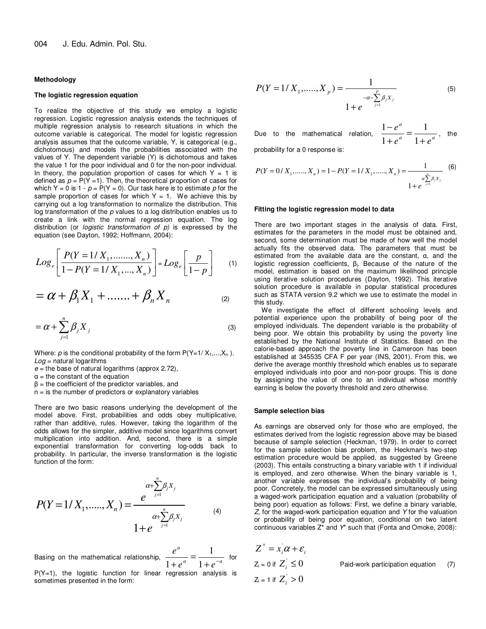#### **Methodology**

### **The logistic regression equation**

To realize the objective of this study we employ a logistic regression. Logistic regression analysis extends the techniques of multiple regression analysis to research situations in which the outcome variable is categorical. The model for logistic regression analysis assumes that the outcome variable, Y, is categorical (e.g., dichotomous) and models the probabilities associated with the values of Y. The dependent variable (Y) is dichotomous and takes the value 1 for the poor individual and 0 for the non-poor individual. In theory, the population proportion of cases for which  $Y = 1$  is defined as  $p = P(Y = 1)$ . Then, the theoretical proportion of cases for which Y = 0 is 1 -  $p = P(Y = 0)$ . Our task here is to estimate p for the sample proportion of cases for which  $Y = 1$ . We achieve this by carrying out a log transformation to normalize the distribution. This log transformation of the  $p$  values to a log distribution enables us to create a link with the normal regression equation. The log distribution (or *logistic transformation of*  $p$ *)* is expressed by the equation (see Dayton, 1992; Hoffmann, 2004):

$$
Log_e \left[ \frac{P(Y = 1 / X_1, \dots, X_n)}{1 - P(Y = 1 / X_1, \dots, X_n)} \right] = Log_e \left[ \frac{p}{1 - p} \right]
$$
 (1)

$$
=\alpha+\beta_1X_1+\dots+\beta_nX_n
$$
\n(2)

$$
=\alpha+\sum_{j=1}^{n}\beta_jX_j\tag{3}
$$

Where:  $p$  is the conditional probability of the form  $P(Y=1/X_1,...,X_n)$ .  $Loq =$  natural logarithms

- $e$  = the base of natural logarithms (approx 2.72),
- $\alpha$  = the constant of the equation
- $β = the coefficient of the predictor variables, and$
- $n =$  is the number of predictors or explanatory variables

There are two basic reasons underlying the development of the model above. First, probabilities and odds obey multiplicative, rather than additive, rules. However, taking the logarithm of the odds allows for the simpler, additive model since logarithms convert multiplication into addition. And, second, there is a simple exponential transformation for converting log-odds back to probability. In particular, the inverse transformation is the logistic function of the form:

$$
P(Y=1/X_1, \dots, X_n) = \frac{e^{X_1 + \sum_{j=1}^{n} \beta_j X_j}}{1 + e^{X_1 + \sum_{j=1}^{n} \beta_j X_j}}
$$
 (4)

Basing on the mathematical relationship,  $\frac{1}{1+a^a} = \frac{1}{1+a^{-a}}$ *a*  $e^a = 1 + e$ *e*  $+e^{-}$ =  $+ e^a$  1 1  $\frac{1}{1+e^a} = \frac{1}{1+e^{-a}}$  for

 $P(Y=1)$ , the logistic function for linear regression analysis is sometimes presented in the form:

$$
P(Y = 1 / X_1, \dots, X_p) = \frac{1}{1 + e^{-\alpha - \sum_{j=1}^p \beta_j X_j}}
$$
(5)

Due to the mathematical relation,  $\frac{a}{1+a^a} = \frac{1}{1+a^a}$ *a*  $e^a = 1 + e$ *e* + = + − 1 1 1  $\frac{1-e^a}{\sqrt{a^a}} = \frac{1}{\sqrt{a^a}}$ , the probability for a 0 response is:

$$
P(Y = 0 / X_1, \dots, X_n) = 1 - P(Y = 1 / X_1, \dots, X_n) = \frac{1}{\sum_{i=1}^{n} \beta_i X_i}
$$
 (6)

#### **Fitting the logistic regression model to data**

There are two important stages in the analysis of data. First, estimates for the parameters in the model must be obtained and, second, some determination must be made of how well the model actually fits the observed data. The parameters that must be estimated from the available data are the constant, α, and the logistic regression coefficients,  $β<sub>i</sub>$ . Because of the nature of the model, estimation is based on the maximum likelihood principle using iterative solution procedures (Dayton, 1992). This iterative solution procedure is available in popular statistical procedures such as STATA version 9.2 which we use to estimate the model in this study.

We investigate the effect of different schooling levels and potential experience upon the probability of being poor of the employed individuals. The dependent variable is the probability of being poor. We obtain this probability by using the poverty line established by the National Institute of Statistics. Based on the calorie-based approach the poverty line in Cameroon has been established at 345535 CFA F per year (INS, 2001). From this, we derive the average monthly threshold which enables us to separate employed individuals into poor and non-poor groups. This is done by assigning the value of one to an individual whose monthly earning is below the poverty threshold and zero otherwise.

#### **Sample selection bias**

As earnings are observed only for those who are employed, the estimates derived from the logistic regression above may be biased because of sample selection (Heckman, 1979). In order to correct for the sample selection bias problem, the Heckman's two-step estimation procedure would be applied, as suggested by Greene (2003). This entails constructing a binary variable with 1 if individual is employed, and zero otherwise. When the binary variable is 1, another variable expresses the individual's probability of being poor. Concretely, the model can be expressed simultaneously using a waged-work participation equation and a valuation (probability of being poor) equation as follows: First, we define a binary variable, Z, for the waged-work participation equation and Y for the valuation or probability of being poor equation, conditional on two latent continuous variables Z\* and Y\* such that (Fonta and Omoke, 2008):

$$
Z^* = x_i' \alpha + \varepsilon_i
$$
  
\n
$$
Z_i = 0 \text{ if } Z_i' \le 0
$$
  
\n
$$
Z_i = 1 \text{ if } Z_i' > 0
$$
  
\n**Pad-work participation equation** (7)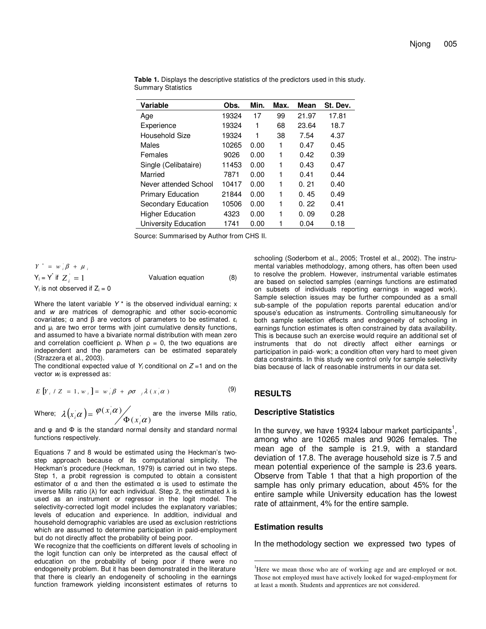| Variable                 | Obs.  | Min. | Max. | Mean  | St. Dev. |
|--------------------------|-------|------|------|-------|----------|
| Age                      | 19324 | 17   | 99   | 21.97 | 17.81    |
| Experience               | 19324 | 1    | 68   | 23.64 | 18.7     |
| Household Size           | 19324 | 1    | 38   | 7.54  | 4.37     |
| Males                    | 10265 | 0.00 | 1    | 0.47  | 0.45     |
| Females                  | 9026  | 0.00 | 1    | 0.42  | 0.39     |
| Single (Celibataire)     | 11453 | 0.00 | 1    | 0.43  | 0.47     |
| Married                  | 7871  | 0.00 | 1    | 0.41  | 0.44     |
| Never attended School    | 10417 | 0.00 | 1    | 0.21  | 0.40     |
| <b>Primary Education</b> | 21844 | 0.00 | 1    | 0.45  | 0.49     |
| Secondary Education      | 10506 | 0.00 | 1    | 0.22  | 0.41     |
| <b>Higher Education</b>  | 4323  | 0.00 | 1    | 0.09  | 0.28     |
| University Education     | 1741  | 0.00 | 1    | 0.04  | 0.18     |

**Table 1.** Displays the descriptive statistics of the predictors used in this study. Summary Statistics

Source: Summarised by Author from CHS II.

| $Y^* = w \beta + \mu$ .            |                    |     |
|------------------------------------|--------------------|-----|
| $Y_i = Y$ if $Z_i = 1$             | Valuation equation | (8) |
| $Y_i$ is not observed if $Z_i = 0$ |                    |     |

Where the latent variable  $Y^*$  is the observed individual earning; x and w are matrices of demographic and other socio-economic covariates;  $\alpha$  and  $\beta$  are vectors of parameters to be estimated.  $\varepsilon_i$ and  $\mu_i$  are two error terms with joint cumulative density functions, and assumed to have a bivariate normal distribution with mean zero and correlation coefficient  $\rho$ . When  $\rho = 0$ , the two equations are independent and the parameters can be estimated separately (Strazzera et al., 2003).

The conditional expected value of  $Y_i$  conditional on  $Z=1$  and on the vector  $w_i$  is expressed as:

$$
E[Y_i / Z = 1, w_i] = w_i \beta + \rho \sigma_{i} \lambda (x_i \alpha)
$$
 (9)

Where;  $\lambda(x_i \alpha) = \frac{\varphi(x_i \alpha)}{\Phi(x_i \alpha)}$  $(\alpha) = \frac{\varphi(x_i \alpha)}{\Phi(x_i \alpha)}$  $\lambda(x;\alpha) = \frac{\varphi(x;\alpha)}{x}$ *i*  $\phi_i(\alpha) = \frac{\varphi(\alpha_i \alpha)}{\varphi(x_i \alpha)}$  $\mathbf{x}_i \alpha = \frac{\varphi(x_i \alpha)}{\Phi(x_i \alpha)}$  are the inverse Mills ratio,

and φ and Φ is the standard normal density and standard normal functions respectively.

Equations 7 and 8 would be estimated using the Heckman's twostep approach because of its computational simplicity. The Heckman's procedure (Heckman, 1979) is carried out in two steps. Step 1, a probit regression is computed to obtain a consistent estimator of  $\alpha$  and then the estimated  $\alpha$  is used to estimate the inverse Mills ratio ( $\lambda$ ) for each individual. Step 2, the estimated  $\lambda$  is used as an instrument or regressor in the logit model. The selectivity-corrected logit model includes the explanatory variables; levels of education and experience. In addition, individual and household demographic variables are used as exclusion restrictions which are assumed to determine participation in paid-employment but do not directly affect the probability of being poor.

We recognize that the coefficients on different levels of schooling in the logit function can only be interpreted as the causal effect of education on the probability of being poor if there were no endogeneity problem. But it has been demonstrated in the literature that there is clearly an endogeneity of schooling in the earnings function framework yielding inconsistent estimates of returns to schooling (Soderbom et al., 2005; Trostel et al., 2002). The instrumental variables methodology, among others, has often been used to resolve the problem. However, instrumental variable estimates are based on selected samples (earnings functions are estimated on subsets of individuals reporting earnings in waged work). Sample selection issues may be further compounded as a small sub-sample of the population reports parental education and/or spouse's education as instruments. Controlling simultaneously for both sample selection effects and endogeneity of schooling in earnings function estimates is often constrained by data availability. This is because such an exercise would require an additional set of instruments that do not directly affect either earnings or participation in paid- work; a condition often very hard to meet given data constraints. In this study we control only for sample selectivity bias because of lack of reasonable instruments in our data set.

# **RESULTS**

## **Descriptive Statistics**

In the survey, we have 19324 labour market participants<sup>1</sup>, among who are 10265 males and 9026 females. The mean age of the sample is 21.9, with a standard deviation of 17.8. The average household size is 7.5 and mean potential experience of the sample is 23.6 years. Observe from Table 1 that that a high proportion of the sample has only primary education, about 45% for the entire sample while University education has the lowest rate of attainment, 4% for the entire sample.

## **Estimation results**

 $\overline{a}$ 

In the methodology section we expressed two types of

<sup>&</sup>lt;sup>1</sup>Here we mean those who are of working age and are employed or not. Those not employed must have actively looked for waged-employment for at least a month. Students and apprentices are not considered.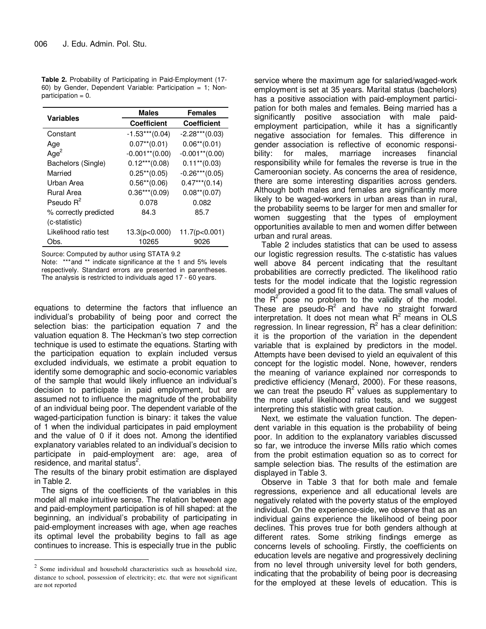| <b>Table 2.</b> Probability of Participating in Paid-Employment (17- |
|----------------------------------------------------------------------|
| 60) by Gender, Dependent Variable: Participation = 1; Non-           |
| $participation = 0.$                                                 |

| <b>Variables</b>      | <b>Males</b>       | <b>Females</b>     |  |
|-----------------------|--------------------|--------------------|--|
|                       | <b>Coefficient</b> | <b>Coefficient</b> |  |
| Constant              | $-1.53***(0.04)$   | $-2.28***(0.03)$   |  |
| Age                   | $0.07**$ (0.01)    | $0.06**$ (0.01)    |  |
| Age <sup>2</sup>      | $-0.001**$ (0.00)  | $-0.001**$ (0.00)  |  |
| Bachelors (Single)    | $0.12***(0.08)$    | $0.11**$ (0.03)    |  |
| Married               | $0.25**$ (0.05)    | $-0.26***(0.05)$   |  |
| Urban Area            | $0.56**$ (0.06)    | $0.47***$ (0.14)   |  |
| Rural Area            | $0.36***(0.09)$    | $0.08**$ (0.07)    |  |
| Pseudo $R^2$          | 0.078              | 0.082              |  |
| % correctly predicted | 84.3               | 85.7               |  |
| (c-statistic)         |                    |                    |  |
| Likelihood ratio test | 13.3(p<0.000)      | 11.7(p<0.001)      |  |
| Obs.                  | 10265              | 9026               |  |

Source: Computed by author using STATA 9.2

Note: \*\*\*and \*\* indicate significance at the 1 and 5% levels respectively. Standard errors are presented in parentheses. The analysis is restricted to individuals aged 17 - 60 years.

equations to determine the factors that influence an individual's probability of being poor and correct the selection bias: the participation equation 7 and the valuation equation 8. The Heckman's two step correction technique is used to estimate the equations. Starting with the participation equation to explain included versus excluded individuals, we estimate a probit equation to identify some demographic and socio-economic variables of the sample that would likely influence an individual's decision to participate in paid employment, but are assumed not to influence the magnitude of the probability of an individual being poor. The dependent variable of the waged-participation function is binary: it takes the value of 1 when the individual participates in paid employment and the value of 0 if it does not. Among the identified explanatory variables related to an individual's decision to participate in paid-employment are: age, area of  $r$ esidence, and marital status $2$ .

The results of the binary probit estimation are displayed in Table 2.

The signs of the coefficients of the variables in this model all make intuitive sense. The relation between age and paid-employment participation is of hill shaped: at the beginning, an individual's probability of participating in paid-employment increases with age, when age reaches its optimal level the probability begins to fall as age continues to increase. This is especially true in the public

 $\overline{a}$ 

service where the maximum age for salaried/waged-work employment is set at 35 years. Marital status (bachelors) has a positive association with paid-employment participation for both males and females. Being married has a significantly positive association with male paidemployment participation, while it has a significantly negative association for females. This difference in gender association is reflective of economic responsibility: for males, marriage increases financial responsibility while for females the reverse is true in the Cameroonian society. As concerns the area of residence, there are some interesting disparities across genders. Although both males and females are significantly more likely to be waged-workers in urban areas than in rural, the probability seems to be larger for men and smaller for women suggesting that the types of employment opportunities available to men and women differ between urban and rural areas.

Table 2 includes statistics that can be used to assess our logistic regression results. The c-statistic has values well above 84 percent indicating that the resultant probabilities are correctly predicted. The likelihood ratio tests for the model indicate that the logistic regression model provided a good fit to the data. The small values of the  $R^2$  pose no problem to the validity of the model. These are pseudo- $R^2$  and have no straight forward interpretation. It does not mean what  $R^2$  means in OLS regression. In linear regression,  $R^2$  has a clear definition: it is the proportion of the variation in the dependent variable that is explained by predictors in the model. Attempts have been devised to yield an equivalent of this concept for the logistic model. None, however, renders the meaning of variance explained nor corresponds to predictive efficiency (Menard, 2000). For these reasons, we can treat the pseudo  $R^2$  values as supplementary to the more useful likelihood ratio tests, and we suggest interpreting this statistic with great caution.

Next, we estimate the valuation function. The dependent variable in this equation is the probability of being poor. In addition to the explanatory variables discussed so far, we introduce the inverse Mills ratio which comes from the probit estimation equation so as to correct for sample selection bias. The results of the estimation are displayed in Table 3.

Observe in Table 3 that for both male and female regressions, experience and all educational levels are negatively related with the poverty status of the employed individual. On the experience-side, we observe that as an individual gains experience the likelihood of being poor declines. This proves true for both genders although at different rates. Some striking findings emerge as concerns levels of schooling. Firstly, the coefficients on education levels are negative and progressively declining from no level through university level for both genders, indicating that the probability of being poor is decreasing for the employed at these levels of education. This is

 $2$  Some individual and household characteristics such as household size, distance to school, possession of electricity; etc. that were not significant are not reported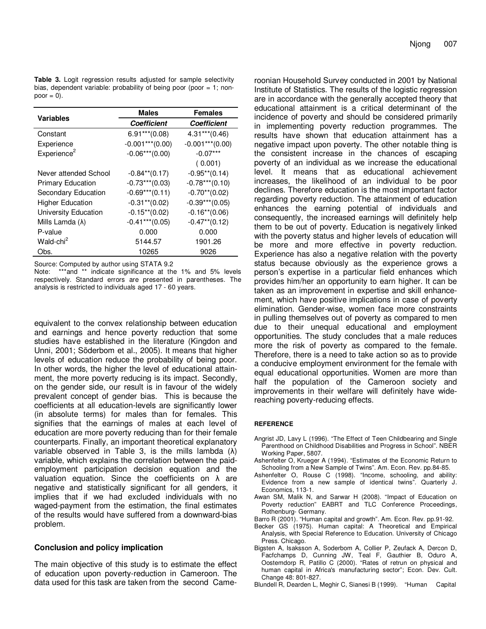**Table 3.** Logit regression results adjusted for sample selectivity bias, dependent variable: probability of being poor (poor  $= 1$ ; non $poor = 0$ ).

| <b>Variables</b>         | <b>Males</b>       | <b>Females</b>     |  |
|--------------------------|--------------------|--------------------|--|
|                          | <b>Coefficient</b> | <b>Coefficient</b> |  |
| Constant                 | $6.91***$ (0.08)   | $4.31***(0.46)$    |  |
| Experience               | $-0.001***$ (0.00) | $-0.001***$ (0.00) |  |
| Experience <sup>2</sup>  | $-0.06***(0.00)$   | $-0.07***$         |  |
|                          |                    | (0.001)            |  |
| Never attended School    | $-0.84**$ (0.17)   | $-0.95**$ (0.14)   |  |
| <b>Primary Education</b> | $-0.73***(0.03)$   | $-0.78***(0.10)$   |  |
| Secondary Education      | $-0.69***(0.11)$   | $-0.70**$ (0.02)   |  |
| <b>Higher Education</b>  | $-0.31**$ (0.02)   | $-0.39***(0.05)$   |  |
| University Education     | $-0.15**$ (0.02)   | $-0.16**$ (0.06)   |  |
| Mills Lamda $(\lambda)$  | $-0.41***$ (0.05)  | $-0.47**$ (0.12)   |  |
| P-value                  | 0.000              | 0.000              |  |
| Wald-chi <sup>2</sup>    | 5144.57            | 1901.26            |  |
| Obs.                     | 10265              | 9026               |  |

Source: Computed by author using STATA 9.2

Note: \*\*\*and \*\* indicate significance at the 1% and 5% levels respectively. Standard errors are presented in parentheses. The analysis is restricted to individuals aged 17 - 60 years.

equivalent to the convex relationship between education and earnings and hence poverty reduction that some studies have established in the literature (Kingdon and Unni, 2001; Söderbom et al., 2005). It means that higher levels of education reduce the probability of being poor. In other words, the higher the level of educational attainment, the more poverty reducing is its impact. Secondly, on the gender side, our result is in favour of the widely prevalent concept of gender bias. This is because the coefficients at all education-levels are significantly lower (in absolute terms) for males than for females. This signifies that the earnings of males at each level of education are more poverty reducing than for their female counterparts. Finally, an important theoretical explanatory variable observed in Table 3, is the mills lambda  $(\lambda)$ variable, which explains the correlation between the paidemployment participation decision equation and the valuation equation. Since the coefficients on  $\lambda$  are negative and statistically significant for all genders, it implies that if we had excluded individuals with no waged-payment from the estimation, the final estimates of the results would have suffered from a downward-bias problem.

# **Conclusion and policy implication**

The main objective of this study is to estimate the effect of education upon poverty-reduction in Cameroon. The data used for this task are taken from the second Cameroonian Household Survey conducted in 2001 by National Institute of Statistics. The results of the logistic regression are in accordance with the generally accepted theory that educational attainment is a critical determinant of the incidence of poverty and should be considered primarily in implementing poverty reduction programmes. The results have shown that education attainment has a negative impact upon poverty. The other notable thing is the consistent increase in the chances of escaping poverty of an individual as we increase the educational level. It means that as educational achievement increases, the likelihood of an individual to be poor declines. Therefore education is the most important factor regarding poverty reduction. The attainment of education enhances the earning potential of individuals and consequently, the increased earnings will definitely help them to be out of poverty. Education is negatively linked with the poverty status and higher levels of education will be more and more effective in poverty reduction. Experience has also a negative relation with the poverty status because obviously as the experience grows a person's expertise in a particular field enhances which provides him/her an opportunity to earn higher. It can be taken as an improvement in expertise and skill enhancement, which have positive implications in case of poverty elimination. Gender-wise, women face more constraints in pulling themselves out of poverty as compared to men due to their unequal educational and employment opportunities. The study concludes that a male reduces more the risk of poverty as compared to the female. Therefore, there is a need to take action so as to provide a conducive employment environment for the female with equal educational opportunities. Women are more than half the population of the Cameroon society and improvements in their welfare will definitely have widereaching poverty-reducing effects.

# **REFERENCE**

- Angrist JD, Lavy L (1996). "The Effect of Teen Childbearing and Single Parenthood on Childhood Disabilities and Progress in School". NBER Working Paper, 5807.
- Ashenfelter O, Krueger A (1994). "Estimates of the Economic Return to Schooling from a New Sample of Twins". Am. Econ. Rev. pp.84-85.
- Ashenfelter O, Rouse C (1998). "Income, schooling, and ability: Evidence from a new sample of identical twins". Quarterly J. Economics, 113-1.
- Awan SM, Malik N, and Sarwar H (2008). "Impact of Education on Poverty reduction" EABRT and TLC Conference Proceedings, Rothenburg- Germany.
- Barro R (2001). "Human capital and growth". Am. Econ. Rev. pp.91-92.
- Becker GS (1975). Human capital: A Theoretical and Empirical Analysis, with Special Reference to Education. University of Chicago Press. Chicago.
- Bigsten A, Isaksson A, Soderbom A, Collier P, Zeufack A, Dercon D, Facfchamps D, Cunning JW, Teal F, Gauthier B, Oduro A, Oostemdorp R, Patillo C (2000). "Rates of retrun on physical and human capital in Africa's manufacturing sector"; Econ. Dev. Cult. Change 48: 801-827.
- Blundell R, Dearden L, Meghir C, Sianesi B (1999). "Human Capital